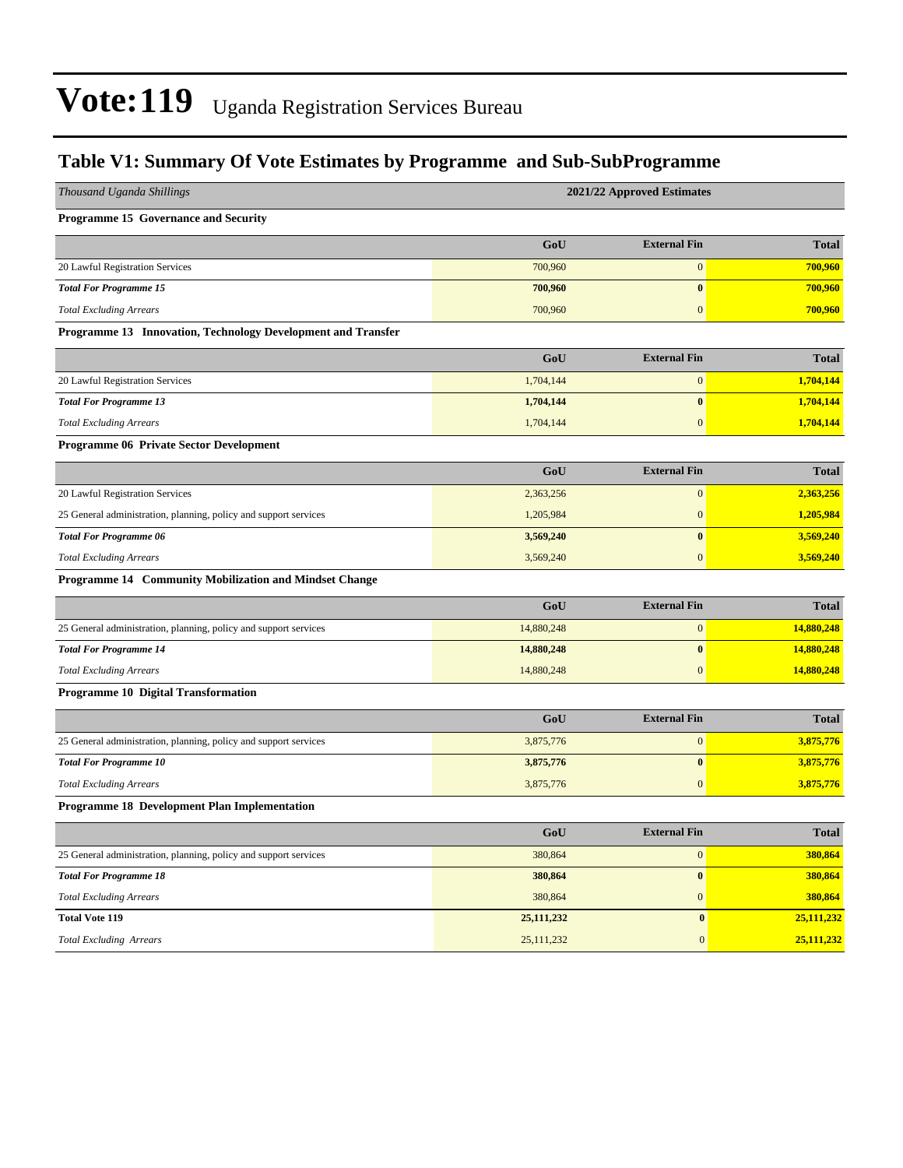### **Table V1: Summary Of Vote Estimates by Programme and Sub-SubProgramme**

| Thousand Uganda Shillings                                        | 2021/22 Approved Estimates |                     |              |  |  |  |  |
|------------------------------------------------------------------|----------------------------|---------------------|--------------|--|--|--|--|
| Programme 15 Governance and Security                             |                            |                     |              |  |  |  |  |
|                                                                  | GoU                        | <b>External Fin</b> | <b>Total</b> |  |  |  |  |
| 20 Lawful Registration Services                                  | 700,960                    | $\mathbf{0}$        | 700,960      |  |  |  |  |
| <b>Total For Programme 15</b>                                    | 700,960                    | $\bf{0}$            | 700,960      |  |  |  |  |
| <b>Total Excluding Arrears</b>                                   | 700,960                    | $\mathbf{0}$        | 700,960      |  |  |  |  |
| Programme 13 Innovation, Technology Development and Transfer     |                            |                     |              |  |  |  |  |
|                                                                  | GoU                        | <b>External Fin</b> | <b>Total</b> |  |  |  |  |
| 20 Lawful Registration Services                                  | 1,704,144                  | $\boldsymbol{0}$    | 1,704,144    |  |  |  |  |
| <b>Total For Programme 13</b>                                    | 1,704,144                  | $\bf{0}$            | 1,704,144    |  |  |  |  |
| <b>Total Excluding Arrears</b>                                   | 1,704,144                  | $\boldsymbol{0}$    | 1,704,144    |  |  |  |  |
| Programme 06 Private Sector Development                          |                            |                     |              |  |  |  |  |
|                                                                  | GoU                        | <b>External Fin</b> | <b>Total</b> |  |  |  |  |
| 20 Lawful Registration Services                                  | 2,363,256                  | $\mathbf{0}$        | 2,363,256    |  |  |  |  |
| 25 General administration, planning, policy and support services | 1,205,984                  | $\boldsymbol{0}$    | 1,205,984    |  |  |  |  |
| <b>Total For Programme 06</b>                                    | 3,569,240                  | $\bf{0}$            | 3,569,240    |  |  |  |  |
| <b>Total Excluding Arrears</b>                                   | 3,569,240                  | $\overline{0}$      | 3,569,240    |  |  |  |  |
| Programme 14 Community Mobilization and Mindset Change           |                            |                     |              |  |  |  |  |
|                                                                  | GoU                        | <b>External Fin</b> | <b>Total</b> |  |  |  |  |
| 25 General administration, planning, policy and support services | 14,880,248                 | $\boldsymbol{0}$    | 14,880,248   |  |  |  |  |
| <b>Total For Programme 14</b>                                    | 14,880,248                 | $\bf{0}$            | 14,880,248   |  |  |  |  |
| <b>Total Excluding Arrears</b>                                   | 14,880,248                 | $\boldsymbol{0}$    | 14,880,248   |  |  |  |  |
| Programme 10 Digital Transformation                              |                            |                     |              |  |  |  |  |
|                                                                  | GoU                        | <b>External Fin</b> | <b>Total</b> |  |  |  |  |
| 25 General administration, planning, policy and support services | 3,875,776                  | $\boldsymbol{0}$    | 3,875,776    |  |  |  |  |
| <b>Total For Programme 10</b>                                    | 3,875,776                  | $\bf{0}$            | 3,875,776    |  |  |  |  |
| <b>Total Excluding Arrears</b>                                   | 3,875,776                  | $\boldsymbol{0}$    | 3,875,776    |  |  |  |  |
| Programme 18 Development Plan Implementation                     |                            |                     |              |  |  |  |  |
|                                                                  | GoU                        | <b>External Fin</b> | <b>Total</b> |  |  |  |  |
| 25 General administration, planning, policy and support services | 380,864                    | $\boldsymbol{0}$    | 380,864      |  |  |  |  |
| <b>Total For Programme 18</b>                                    | 380,864                    | $\pmb{0}$           | 380,864      |  |  |  |  |
| <b>Total Excluding Arrears</b>                                   | 380,864                    | $\boldsymbol{0}$    | 380,864      |  |  |  |  |
| <b>Total Vote 119</b>                                            | 25,111,232                 | $\pmb{0}$           | 25,111,232   |  |  |  |  |
| <b>Total Excluding Arrears</b>                                   | 25,111,232                 | $\boldsymbol{0}$    | 25,111,232   |  |  |  |  |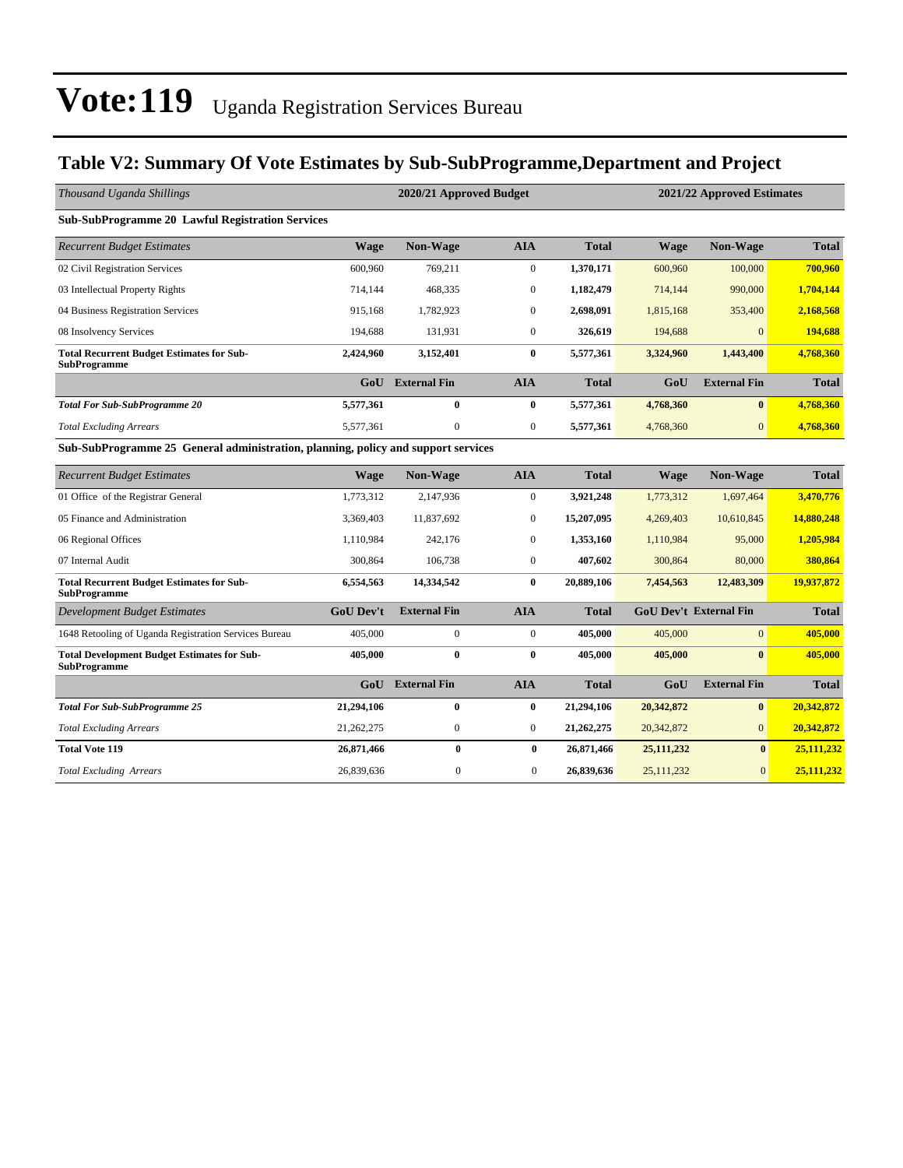### **Table V2: Summary Of Vote Estimates by Sub-SubProgramme,Department and Project**

| Thousand Uganda Shillings                                                         |                  | 2020/21 Approved Budget |                  |              | 2021/22 Approved Estimates |                               |              |  |
|-----------------------------------------------------------------------------------|------------------|-------------------------|------------------|--------------|----------------------------|-------------------------------|--------------|--|
| <b>Sub-SubProgramme 20 Lawful Registration Services</b>                           |                  |                         |                  |              |                            |                               |              |  |
| <b>Recurrent Budget Estimates</b>                                                 | <b>Wage</b>      | <b>Non-Wage</b>         | <b>AIA</b>       | <b>Total</b> | <b>Wage</b>                | <b>Non-Wage</b>               | <b>Total</b> |  |
| 02 Civil Registration Services                                                    | 600,960          | 769,211                 | $\mathbf{0}$     | 1,370,171    | 600,960                    | 100,000                       | 700,960      |  |
| 03 Intellectual Property Rights                                                   | 714,144          | 468,335                 | $\boldsymbol{0}$ | 1,182,479    | 714,144                    | 990,000                       | 1,704,144    |  |
| 04 Business Registration Services                                                 | 915,168          | 1,782,923               | $\boldsymbol{0}$ | 2,698,091    | 1,815,168                  | 353,400                       | 2,168,568    |  |
| 08 Insolvency Services                                                            | 194,688          | 131,931                 | $\mathbf{0}$     | 326,619      | 194,688                    | $\Omega$                      | 194,688      |  |
| <b>Total Recurrent Budget Estimates for Sub-</b><br><b>SubProgramme</b>           | 2,424,960        | 3,152,401               | $\bf{0}$         | 5,577,361    | 3,324,960                  | 1,443,400                     | 4,768,360    |  |
|                                                                                   | GoU              | <b>External Fin</b>     | <b>AIA</b>       | <b>Total</b> | GoU                        | <b>External Fin</b>           | <b>Total</b> |  |
| <b>Total For Sub-SubProgramme 20</b>                                              | 5,577,361        | $\bf{0}$                | $\bf{0}$         | 5,577,361    | 4,768,360                  | $\bf{0}$                      | 4,768,360    |  |
| <b>Total Excluding Arrears</b>                                                    | 5,577,361        | $\mathbf{0}$            | $\boldsymbol{0}$ | 5,577,361    | 4,768,360                  | $\overline{0}$                | 4,768,360    |  |
| Sub-SubProgramme 25 General administration, planning, policy and support services |                  |                         |                  |              |                            |                               |              |  |
| <b>Recurrent Budget Estimates</b>                                                 | <b>Wage</b>      | <b>Non-Wage</b>         | <b>AIA</b>       | <b>Total</b> | <b>Wage</b>                | Non-Wage                      | <b>Total</b> |  |
| 01 Office of the Registrar General                                                | 1,773,312        | 2,147,936               | $\boldsymbol{0}$ | 3,921,248    | 1,773,312                  | 1,697,464                     | 3,470,776    |  |
| 05 Finance and Administration                                                     | 3.369.403        | 11.837.692              | $\mathbf{0}$     | 15,207,095   | 4,269,403                  | 10,610,845                    | 14,880,248   |  |
| 06 Regional Offices                                                               | 1,110,984        | 242,176                 | $\mathbf{0}$     | 1,353,160    | 1,110,984                  | 95,000                        | 1,205,984    |  |
| 07 Internal Audit                                                                 | 300,864          | 106,738                 | $\boldsymbol{0}$ | 407,602      | 300,864                    | 80,000                        | 380,864      |  |
| <b>Total Recurrent Budget Estimates for Sub-</b><br><b>SubProgramme</b>           | 6,554,563        | 14,334,542              | $\bf{0}$         | 20,889,106   | 7,454,563                  | 12,483,309                    | 19,937,872   |  |
| <b>Development Budget Estimates</b>                                               | <b>GoU Dev't</b> | <b>External Fin</b>     | <b>AIA</b>       | <b>Total</b> |                            | <b>GoU Dev't External Fin</b> | <b>Total</b> |  |
| 1648 Retooling of Uganda Registration Services Bureau                             | 405,000          | $\mathbf{0}$            | $\mathbf{0}$     | 405,000      | 405,000                    | $\overline{0}$                | 405,000      |  |
| <b>Total Development Budget Estimates for Sub-</b><br><b>SubProgramme</b>         | 405,000          | $\bf{0}$                | $\bf{0}$         | 405,000      | 405,000                    | $\mathbf{0}$                  | 405,000      |  |
|                                                                                   |                  | GoU External Fin        | <b>AIA</b>       | <b>Total</b> | GoU                        | <b>External Fin</b>           | <b>Total</b> |  |
| <b>Total For Sub-SubProgramme 25</b>                                              | 21,294,106       | $\bf{0}$                | $\bf{0}$         | 21,294,106   | 20,342,872                 | $\bf{0}$                      | 20,342,872   |  |
| <b>Total Excluding Arrears</b>                                                    | 21,262,275       | $\boldsymbol{0}$        | $\mathbf{0}$     | 21,262,275   | 20,342,872                 | $\overline{0}$                | 20,342,872   |  |
| <b>Total Vote 119</b>                                                             | 26,871,466       | $\bf{0}$                | $\bf{0}$         | 26,871,466   | 25, 111, 232               | $\mathbf{0}$                  | 25,111,232   |  |
| <b>Total Excluding Arrears</b>                                                    | 26,839,636       | $\mathbf{0}$            | $\overline{0}$   | 26,839,636   | 25,111,232                 | $\mathbf{0}$                  | 25,111,232   |  |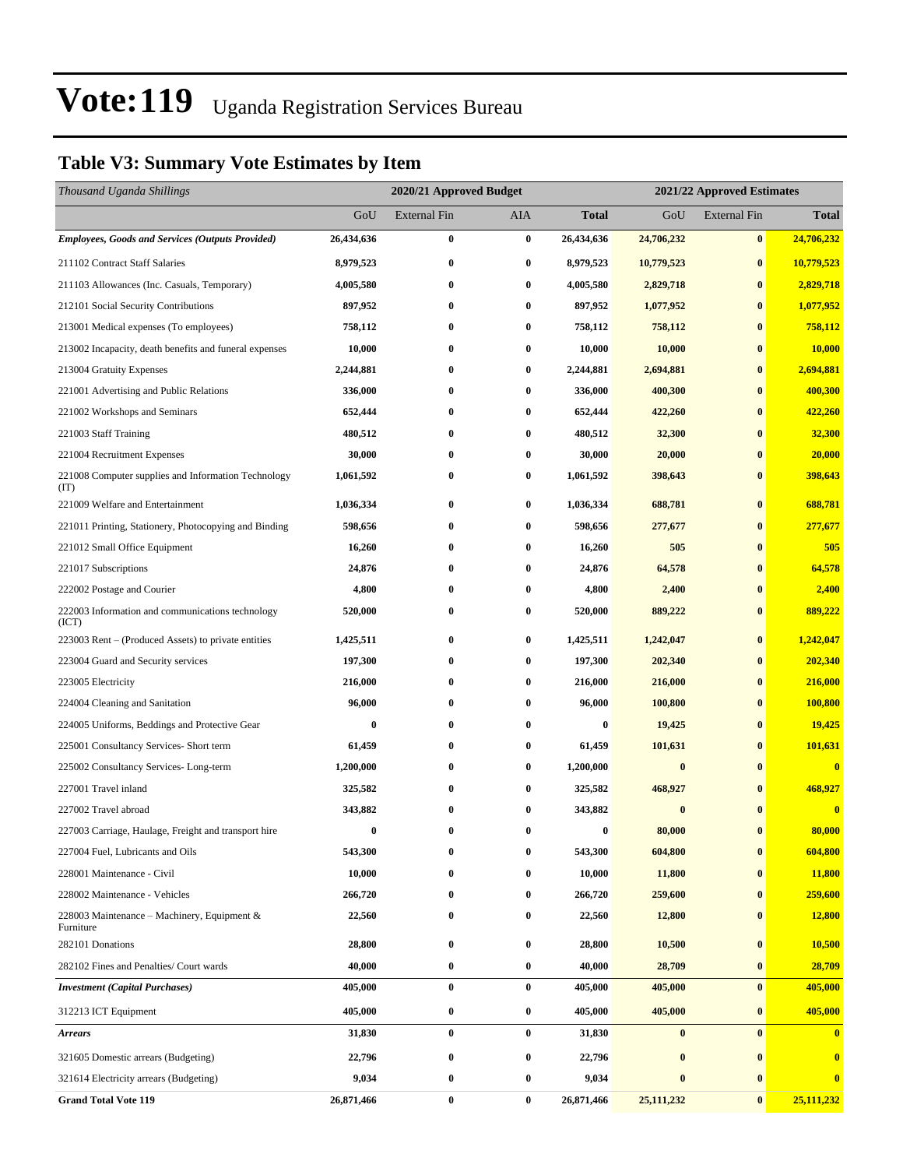## **Table V3: Summary Vote Estimates by Item**

| Thousand Uganda Shillings                                   |            | 2020/21 Approved Budget |            |              | 2021/22 Approved Estimates |                     |                         |  |
|-------------------------------------------------------------|------------|-------------------------|------------|--------------|----------------------------|---------------------|-------------------------|--|
|                                                             | GoU        | External Fin            | <b>AIA</b> | <b>Total</b> | GoU                        | <b>External Fin</b> | <b>Total</b>            |  |
| <b>Employees, Goods and Services (Outputs Provided)</b>     | 26,434,636 | 0                       | $\bf{0}$   | 26,434,636   | 24,706,232                 | $\bf{0}$            | 24,706,232              |  |
| 211102 Contract Staff Salaries                              | 8,979,523  | $\bf{0}$                | $\bf{0}$   | 8,979,523    | 10,779,523                 | $\bf{0}$            | 10,779,523              |  |
| 211103 Allowances (Inc. Casuals, Temporary)                 | 4,005,580  | 0                       | $\bf{0}$   | 4,005,580    | 2,829,718                  | $\bf{0}$            | 2,829,718               |  |
| 212101 Social Security Contributions                        | 897,952    | 0                       | $\bf{0}$   | 897,952      | 1,077,952                  | $\bf{0}$            | 1,077,952               |  |
| 213001 Medical expenses (To employees)                      | 758,112    | 0                       | $\bf{0}$   | 758,112      | 758,112                    | $\bf{0}$            | 758,112                 |  |
| 213002 Incapacity, death benefits and funeral expenses      | 10,000     | $\bf{0}$                | $\bf{0}$   | 10,000       | 10,000                     | $\bf{0}$            | 10,000                  |  |
| 213004 Gratuity Expenses                                    | 2,244,881  | 0                       | $\bf{0}$   | 2,244,881    | 2,694,881                  | $\bf{0}$            | 2,694,881               |  |
| 221001 Advertising and Public Relations                     | 336,000    | 0                       | $\bf{0}$   | 336,000      | 400,300                    | $\bf{0}$            | 400,300                 |  |
| 221002 Workshops and Seminars                               | 652,444    | 0                       | $\bf{0}$   | 652,444      | 422,260                    | $\bf{0}$            | 422,260                 |  |
| 221003 Staff Training                                       | 480,512    | 0                       | $\bf{0}$   | 480,512      | 32,300                     | $\bf{0}$            | 32,300                  |  |
| 221004 Recruitment Expenses                                 | 30,000     | 0                       | $\bf{0}$   | 30,000       | 20,000                     | $\bf{0}$            | 20,000                  |  |
| 221008 Computer supplies and Information Technology<br>(TT) | 1,061,592  | 0                       | $\bf{0}$   | 1,061,592    | 398,643                    | $\bf{0}$            | 398,643                 |  |
| 221009 Welfare and Entertainment                            | 1,036,334  | 0                       | $\bf{0}$   | 1,036,334    | 688,781                    | $\bf{0}$            | 688,781                 |  |
| 221011 Printing, Stationery, Photocopying and Binding       | 598,656    | 0                       | $\bf{0}$   | 598,656      | 277,677                    | $\bf{0}$            | 277,677                 |  |
| 221012 Small Office Equipment                               | 16,260     | 0                       | $\bf{0}$   | 16,260       | 505                        | $\bf{0}$            | 505                     |  |
| 221017 Subscriptions                                        | 24,876     | 0                       | $\bf{0}$   | 24,876       | 64,578                     | $\bf{0}$            | 64,578                  |  |
| 222002 Postage and Courier                                  | 4,800      | 0                       | $\bf{0}$   | 4,800        | 2,400                      | $\bf{0}$            | 2,400                   |  |
| 222003 Information and communications technology<br>(ICT)   | 520,000    | 0                       | $\bf{0}$   | 520,000      | 889,222                    | $\bf{0}$            | 889,222                 |  |
| 223003 Rent – (Produced Assets) to private entities         | 1,425,511  | 0                       | $\bf{0}$   | 1,425,511    | 1,242,047                  | $\bf{0}$            | 1,242,047               |  |
| 223004 Guard and Security services                          | 197,300    | 0                       | $\bf{0}$   | 197,300      | 202,340                    | $\bf{0}$            | 202,340                 |  |
| 223005 Electricity                                          | 216,000    | 0                       | $\bf{0}$   | 216,000      | 216,000                    | $\bf{0}$            | 216,000                 |  |
| 224004 Cleaning and Sanitation                              | 96,000     | 0                       | $\bf{0}$   | 96,000       | 100,800                    | $\bf{0}$            | 100,800                 |  |
| 224005 Uniforms, Beddings and Protective Gear               | 0          | 0                       | $\bf{0}$   | 0            | 19,425                     | $\bf{0}$            | 19,425                  |  |
| 225001 Consultancy Services- Short term                     | 61,459     | 0                       | $\bf{0}$   | 61,459       | 101,631                    | $\bf{0}$            | 101,631                 |  |
| 225002 Consultancy Services-Long-term                       | 1,200,000  | 0                       | $\bf{0}$   | 1,200,000    | $\bf{0}$                   | $\bf{0}$            | $\overline{\mathbf{0}}$ |  |
| 227001 Travel inland                                        | 325,582    | 0                       | $\bf{0}$   | 325,582      | 468,927                    | $\bf{0}$            | 468,927                 |  |
| 227002 Travel abroad                                        | 343,882    | 0                       | $\bf{0}$   | 343,882      | $\bf{0}$                   | $\mathbf{0}$        | $\bf{0}$                |  |
| 227003 Carriage, Haulage, Freight and transport hire        | $\bf{0}$   | 0                       | $\bf{0}$   | 0            | 80,000                     | $\bf{0}$            | 80,000                  |  |
| 227004 Fuel, Lubricants and Oils                            | 543,300    | 0                       | $\bf{0}$   | 543,300      | 604,800                    | $\bf{0}$            | 604,800                 |  |
| 228001 Maintenance - Civil                                  | 10,000     | 0                       | $\bf{0}$   | 10,000       | 11,800                     | $\bf{0}$            | 11,800                  |  |
| 228002 Maintenance - Vehicles                               | 266,720    | 0                       | $\bf{0}$   | 266,720      | 259,600                    | $\bf{0}$            | 259,600                 |  |
| 228003 Maintenance - Machinery, Equipment &<br>Furniture    | 22,560     | 0                       | $\bf{0}$   | 22,560       | 12,800                     | $\bf{0}$            | 12,800                  |  |
| 282101 Donations                                            | 28,800     | 0                       | $\bf{0}$   | 28,800       | 10,500                     | $\bf{0}$            | 10,500                  |  |
| 282102 Fines and Penalties/ Court wards                     | 40,000     | 0                       | $\bf{0}$   | 40,000       | 28,709                     | $\bf{0}$            | 28,709                  |  |
| <b>Investment</b> (Capital Purchases)                       | 405,000    | 0                       | $\bf{0}$   | 405,000      | 405,000                    | $\bf{0}$            | 405,000                 |  |
| 312213 ICT Equipment                                        | 405,000    | 0                       | $\bf{0}$   | 405,000      | 405,000                    | $\bf{0}$            | 405,000                 |  |
| <b>Arrears</b>                                              | 31,830     | 0                       | $\bf{0}$   | 31,830       | $\bf{0}$                   | $\bf{0}$            | $\bf{0}$                |  |
| 321605 Domestic arrears (Budgeting)                         | 22,796     | 0                       | $\bf{0}$   | 22,796       | $\bf{0}$                   | $\bf{0}$            | $\bf{0}$                |  |
| 321614 Electricity arrears (Budgeting)                      | 9,034      | 0                       | $\bf{0}$   | 9,034        | $\bf{0}$                   | $\bf{0}$            | $\bf{0}$                |  |
| <b>Grand Total Vote 119</b>                                 | 26,871,466 | $\bf{0}$                | $\bf{0}$   | 26,871,466   | 25,111,232                 | $\bf{0}$            | 25,111,232              |  |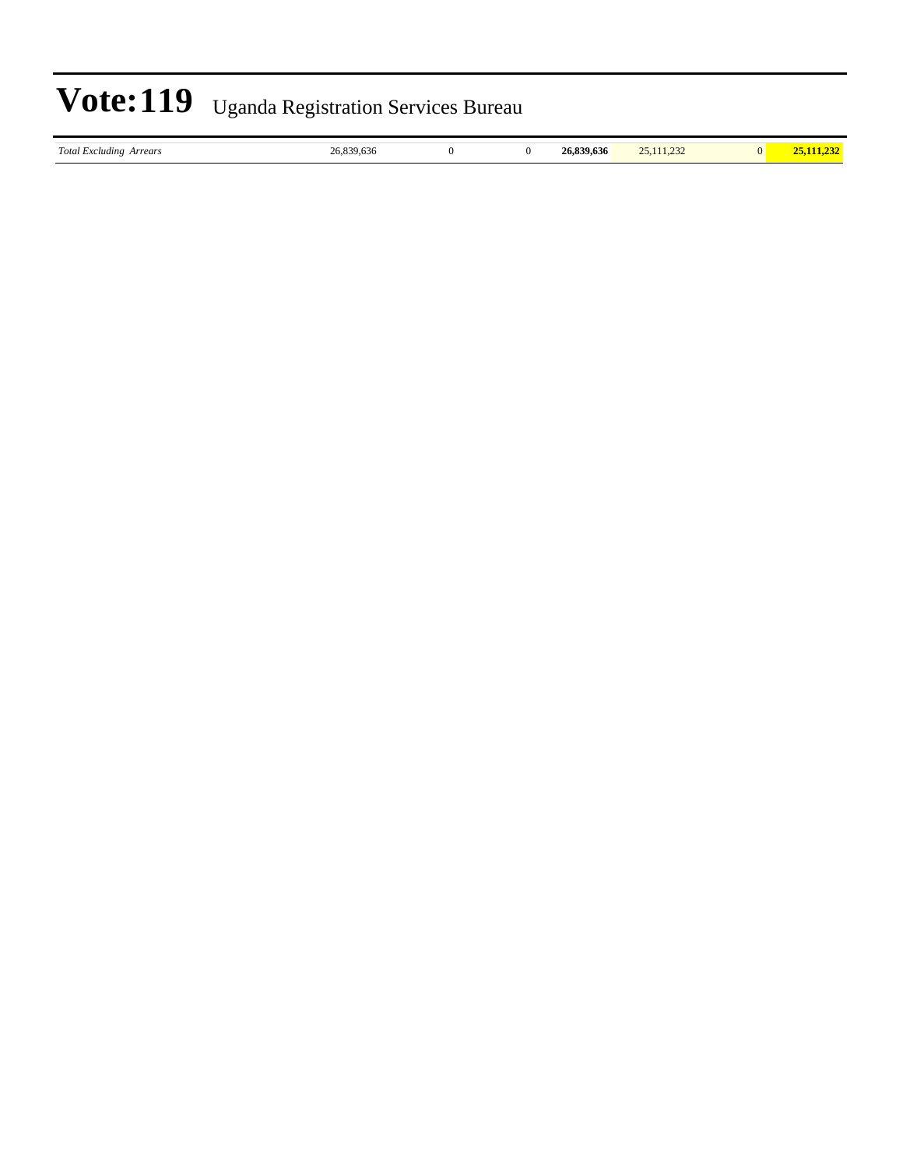|  | $\textbf{Vote:119}$ Uganda Registration Services Bureau |
|--|---------------------------------------------------------|
|--|---------------------------------------------------------|

| $\sim$<br>Total Excluding<br>Arrears | ۰.<br>-21<br>9.030<br>.<br>$\sim$ |  | $.$ 020 $\epsilon$<br>26.83<br>39.636 | າະ<br>$\sim$ $\sim$ $\sim$ |  |
|--------------------------------------|-----------------------------------|--|---------------------------------------|----------------------------|--|
|                                      |                                   |  |                                       |                            |  |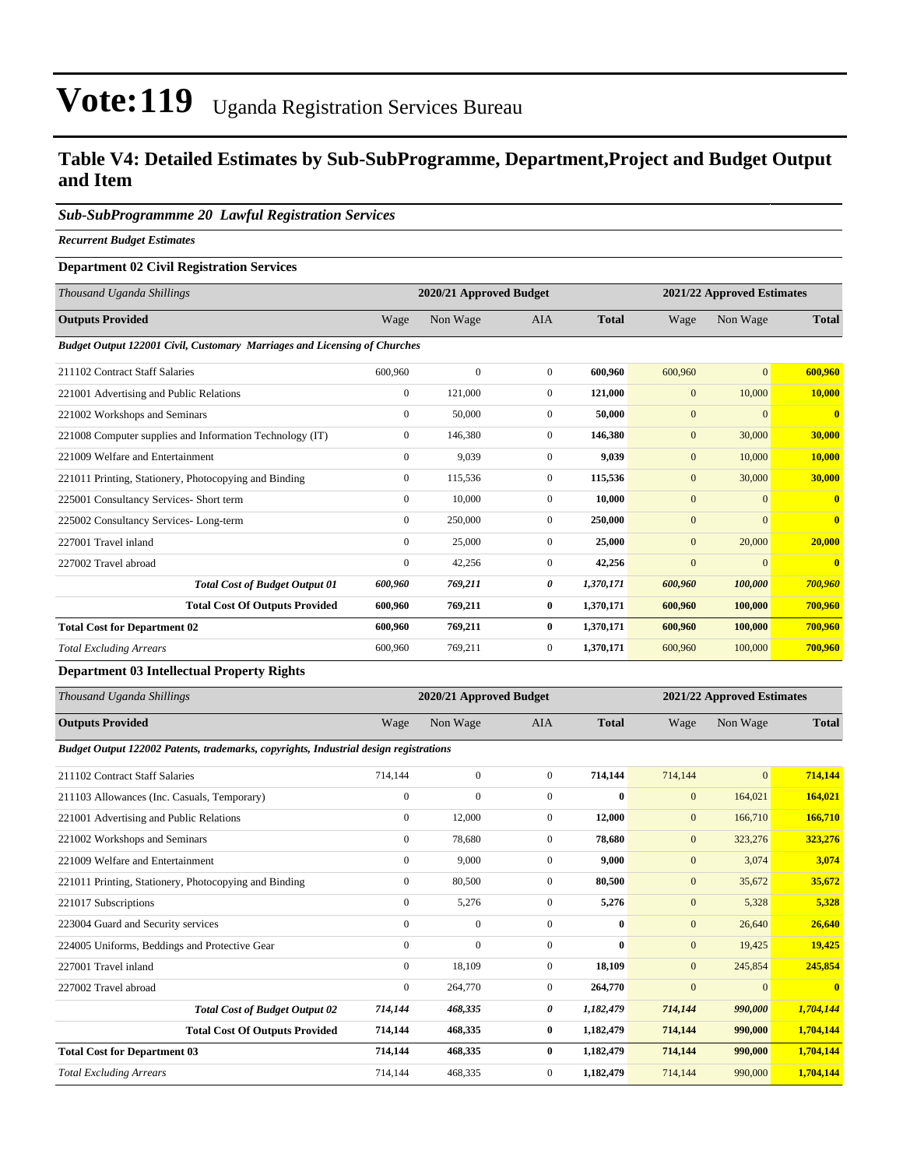### **Table V4: Detailed Estimates by Sub-SubProgramme, Department,Project and Budget Output and Item**

#### *Sub-SubProgrammme 20 Lawful Registration Services*

*Recurrent Budget Estimates*

#### **Department 02 Civil Registration Services**

| Thousand Uganda Shillings                                                        |              | 2020/21 Approved Budget |                |              |              | 2021/22 Approved Estimates |                |
|----------------------------------------------------------------------------------|--------------|-------------------------|----------------|--------------|--------------|----------------------------|----------------|
| <b>Outputs Provided</b>                                                          | Wage         | Non Wage                | <b>AIA</b>     | <b>Total</b> | Wage         | Non Wage                   | <b>Total</b>   |
| <b>Budget Output 122001 Civil, Customary Marriages and Licensing of Churches</b> |              |                         |                |              |              |                            |                |
| 211102 Contract Staff Salaries                                                   | 600,960      | $\mathbf{0}$            | $\overline{0}$ | 600.960      | 600,960      | $\overline{0}$             | 600,960        |
| 221001 Advertising and Public Relations                                          | $\mathbf{0}$ | 121,000                 | $\overline{0}$ | 121,000      | $\mathbf{0}$ | 10,000                     | 10,000         |
| 221002 Workshops and Seminars                                                    | $\mathbf{0}$ | 50,000                  | $\Omega$       | 50.000       | $\mathbf{0}$ | $\mathbf{0}$               | $\overline{0}$ |
| 221008 Computer supplies and Information Technology (IT)                         | $\mathbf{0}$ | 146,380                 | $\overline{0}$ | 146,380      | $\mathbf{0}$ | 30,000                     | 30,000         |
| 221009 Welfare and Entertainment                                                 | $\mathbf{0}$ | 9,039                   | $\Omega$       | 9.039        | $\mathbf{0}$ | 10,000                     | 10,000         |
| 221011 Printing, Stationery, Photocopying and Binding                            | $\mathbf{0}$ | 115,536                 | $\overline{0}$ | 115,536      | $\mathbf{0}$ | 30,000                     | 30,000         |
| 225001 Consultancy Services- Short term                                          | $\mathbf{0}$ | 10,000                  | $\overline{0}$ | 10,000       | $\mathbf{0}$ | $\mathbf{0}$               | $\mathbf{0}$   |
| 225002 Consultancy Services-Long-term                                            | $\mathbf{0}$ | 250,000                 | $\Omega$       | 250,000      | $\mathbf{0}$ | $\mathbf{0}$               | $\mathbf{0}$   |
| 227001 Travel inland                                                             | $\mathbf{0}$ | 25,000                  | $\overline{0}$ | 25,000       | $\mathbf{0}$ | 20,000                     | 20,000         |
| 227002 Travel abroad                                                             | $\mathbf{0}$ | 42,256                  | $\overline{0}$ | 42,256       | $\mathbf{0}$ | $\mathbf{0}$               | $\overline{0}$ |
| <b>Total Cost of Budget Output 01</b>                                            | 600,960      | 769,211                 | 0              | 1,370,171    | 600,960      | 100,000                    | 700,960        |
| <b>Total Cost Of Outputs Provided</b>                                            | 600,960      | 769,211                 | $\bf{0}$       | 1,370,171    | 600,960      | 100,000                    | 700,960        |
| <b>Total Cost for Department 02</b>                                              | 600,960      | 769,211                 | $\bf{0}$       | 1,370,171    | 600,960      | 100,000                    | 700,960        |
| <b>Total Excluding Arrears</b>                                                   | 600,960      | 769,211                 | $\overline{0}$ | 1,370,171    | 600,960      | 100,000                    | 700,960        |

#### **Department 03 Intellectual Property Rights**

| Thousand Uganda Shillings                                                             |              | 2020/21 Approved Budget |                |              |                | 2021/22 Approved Estimates |                         |  |
|---------------------------------------------------------------------------------------|--------------|-------------------------|----------------|--------------|----------------|----------------------------|-------------------------|--|
| <b>Outputs Provided</b>                                                               | Wage         | Non Wage                | <b>AIA</b>     | <b>Total</b> | Wage           | Non Wage                   | <b>Total</b>            |  |
| Budget Output 122002 Patents, trademarks, copyrights, Industrial design registrations |              |                         |                |              |                |                            |                         |  |
| 211102 Contract Staff Salaries                                                        | 714,144      | $\Omega$                | $\Omega$       | 714,144      | 714,144        | $\mathbf{0}$               | 714,144                 |  |
| 211103 Allowances (Inc. Casuals, Temporary)                                           | $\mathbf{0}$ | $\Omega$                | $\Omega$       | $\bf{0}$     | $\mathbf{0}$   | 164,021                    | 164,021                 |  |
| 221001 Advertising and Public Relations                                               | $\mathbf{0}$ | 12,000                  | $\overline{0}$ | 12,000       | $\mathbf{0}$   | 166,710                    | 166,710                 |  |
| 221002 Workshops and Seminars                                                         | $\mathbf{0}$ | 78,680                  | $\overline{0}$ | 78,680       | $\mathbf{0}$   | 323,276                    | 323,276                 |  |
| 221009 Welfare and Entertainment                                                      | $\Omega$     | 9,000                   | $\Omega$       | 9,000        | $\mathbf{0}$   | 3,074                      | 3,074                   |  |
| 221011 Printing, Stationery, Photocopying and Binding                                 | $\mathbf{0}$ | 80,500                  | $\overline{0}$ | 80,500       | $\mathbf{0}$   | 35,672                     | 35,672                  |  |
| 221017 Subscriptions                                                                  | $\mathbf{0}$ | 5,276                   | $\overline{0}$ | 5,276        | $\mathbf{0}$   | 5,328                      | 5,328                   |  |
| 223004 Guard and Security services                                                    | $\Omega$     | $\Omega$                | $\Omega$       | $\bf{0}$     | $\mathbf{0}$   | 26,640                     | 26,640                  |  |
| 224005 Uniforms, Beddings and Protective Gear                                         | $\mathbf{0}$ | $\theta$                | $\Omega$       | $\bf{0}$     | $\mathbf{0}$   | 19,425                     | 19,425                  |  |
| 227001 Travel inland                                                                  | $\mathbf{0}$ | 18,109                  | $\overline{0}$ | 18,109       | $\mathbf{0}$   | 245,854                    | 245,854                 |  |
| 227002 Travel abroad                                                                  | $\mathbf{0}$ | 264,770                 | $\overline{0}$ | 264,770      | $\overline{0}$ | $\mathbf{0}$               | $\overline{\mathbf{0}}$ |  |
| <b>Total Cost of Budget Output 02</b>                                                 | 714,144      | 468,335                 | 0              | 1,182,479    | 714,144        | 990,000                    | 1,704,144               |  |
| <b>Total Cost Of Outputs Provided</b>                                                 | 714,144      | 468,335                 | $\bf{0}$       | 1,182,479    | 714,144        | 990,000                    | 1,704,144               |  |
| <b>Total Cost for Department 03</b>                                                   | 714,144      | 468,335                 | $\bf{0}$       | 1,182,479    | 714,144        | 990,000                    | 1,704,144               |  |
| <b>Total Excluding Arrears</b>                                                        | 714,144      | 468,335                 | $\overline{0}$ | 1,182,479    | 714,144        | 990,000                    | 1,704,144               |  |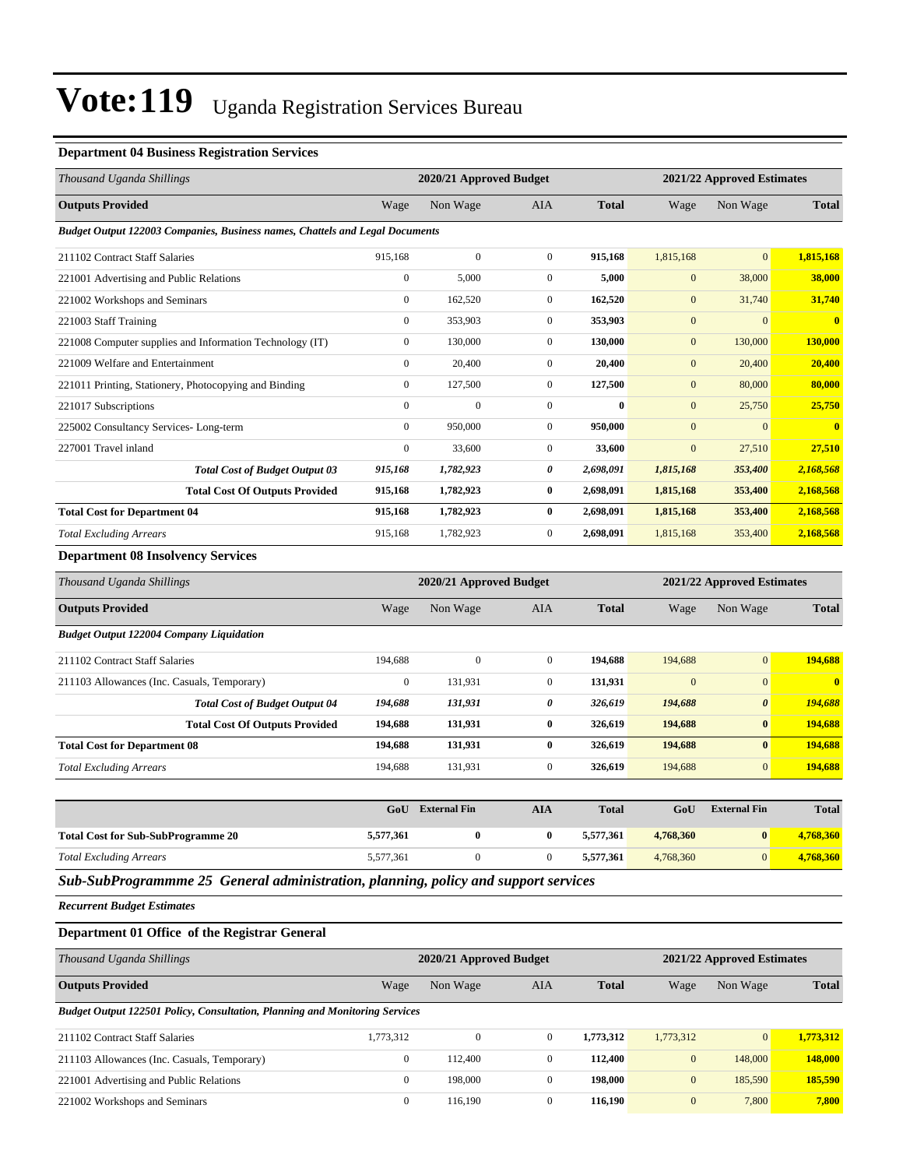#### **Department 04 Business Registration Services**

| Thousand Uganda Shillings                                                    |                  | 2020/21 Approved Budget |                |              | 2021/22 Approved Estimates |                            |              |
|------------------------------------------------------------------------------|------------------|-------------------------|----------------|--------------|----------------------------|----------------------------|--------------|
| <b>Outputs Provided</b>                                                      | Wage             | Non Wage                | <b>AIA</b>     | <b>Total</b> | Wage                       | Non Wage                   | <b>Total</b> |
| Budget Output 122003 Companies, Business names, Chattels and Legal Documents |                  |                         |                |              |                            |                            |              |
| 211102 Contract Staff Salaries                                               | 915,168          | $\boldsymbol{0}$        | $\mathbf{0}$   | 915,168      | 1,815,168                  | $\mathbf{0}$               | 1,815,168    |
| 221001 Advertising and Public Relations                                      | $\overline{0}$   | 5,000                   | $\mathbf{0}$   | 5,000        | $\mathbf{0}$               | 38,000                     | 38,000       |
| 221002 Workshops and Seminars                                                | $\overline{0}$   | 162,520                 | $\mathbf{0}$   | 162,520      | $\mathbf{0}$               | 31,740                     | 31,740       |
| 221003 Staff Training                                                        | $\overline{0}$   | 353,903                 | $\mathbf{0}$   | 353,903      | $\mathbf{0}$               | $\mathbf{0}$               | $\mathbf{0}$ |
| 221008 Computer supplies and Information Technology (IT)                     | $\overline{0}$   | 130,000                 | $\mathbf{0}$   | 130,000      | $\mathbf{0}$               | 130,000                    | 130,000      |
| 221009 Welfare and Entertainment                                             | $\overline{0}$   | 20,400                  | $\mathbf{0}$   | 20,400       | $\mathbf{0}$               | 20,400                     | 20,400       |
| 221011 Printing, Stationery, Photocopying and Binding                        | $\overline{0}$   | 127,500                 | $\mathbf{0}$   | 127,500      | $\mathbf{0}$               | 80,000                     | 80,000       |
| 221017 Subscriptions                                                         | $\overline{0}$   | $\mathbf{0}$            | $\mathbf{0}$   | $\bf{0}$     | $\mathbf{0}$               | 25,750                     | 25,750       |
| 225002 Consultancy Services-Long-term                                        | $\overline{0}$   | 950,000                 | $\mathbf{0}$   | 950,000      | $\overline{0}$             | $\mathbf{0}$               |              |
| 227001 Travel inland                                                         | $\boldsymbol{0}$ | 33,600                  | $\overline{0}$ | 33,600       | $\mathbf{0}$               | 27,510                     | 27,510       |
| <b>Total Cost of Budget Output 03</b>                                        | 915,168          | 1,782,923               | 0              | 2,698,091    | 1,815,168                  | 353,400                    | 2,168,568    |
| <b>Total Cost Of Outputs Provided</b>                                        | 915,168          | 1,782,923               | $\bf{0}$       | 2,698,091    | 1,815,168                  | 353,400                    | 2,168,568    |
| <b>Total Cost for Department 04</b>                                          | 915,168          | 1,782,923               | $\bf{0}$       | 2,698,091    | 1,815,168                  | 353,400                    | 2,168,568    |
| <b>Total Excluding Arrears</b>                                               | 915,168          | 1,782,923               | $\mathbf{0}$   | 2,698,091    | 1,815,168                  | 353,400                    | 2,168,568    |
| <b>Department 08 Insolvency Services</b>                                     |                  |                         |                |              |                            |                            |              |
| Thousand Uganda Shillings                                                    |                  | 2020/21 Approved Budget |                |              |                            | 2021/22 Approved Estimates |              |
| <b>Outputs Provided</b>                                                      | Wage             | Non Wage                | <b>AIA</b>     | <b>Total</b> | Wage                       | Non Wage                   | <b>Total</b> |
| <b>Budget Output 122004 Company Liquidation</b>                              |                  |                         |                |              |                            |                            |              |
| 211102 Contract Staff Salaries                                               | 194,688          | $\mathbf{0}$            | $\mathbf{0}$   | 194.688      | 194,688                    | $\mathbf{0}$               | 194.688      |

| 211102 Contract Staff Salaries              |                                       | 194.688  |         |   | 194.688 | 194,688      | $\mathbf{0}$          | 194.688      |
|---------------------------------------------|---------------------------------------|----------|---------|---|---------|--------------|-----------------------|--------------|
| 211103 Allowances (Inc. Casuals, Temporary) |                                       | $\Omega$ | 131.931 |   | 131.931 | $\mathbf{0}$ | $\mathbf{0}$          | $\mathbf{0}$ |
|                                             | <b>Total Cost of Budget Output 04</b> | 194,688  | 131,931 | 0 | 326.619 | 194,688      | $\boldsymbol{\theta}$ | 194,688      |
|                                             | <b>Total Cost Of Outputs Provided</b> | 194.688  | 131.931 |   | 326,619 | 194,688      | $\bf{0}$              | 194,688      |
| <b>Total Cost for Department 08</b>         |                                       | 194.688  | 131.931 |   | 326,619 | 194,688      | $\bf{0}$              | 194,688      |
| <b>Total Excluding Arrears</b>              |                                       | 194.688  | 131,931 |   | 326,619 | 194,688      | $\overline{0}$        | 194.688      |
|                                             |                                       |          |         |   |         |              |                       |              |

|                                           | GoU                                                                                                             | <b>External Fin</b> | AIA | <b>Total</b> | GoU       | <b>External Fin</b> | <b>Total</b> |
|-------------------------------------------|-----------------------------------------------------------------------------------------------------------------|---------------------|-----|--------------|-----------|---------------------|--------------|
| <b>Total Cost for Sub-SubProgramme 20</b> | 5,577,361                                                                                                       |                     |     | 5,577,361    | 4,768,360 |                     | 4,768,360    |
| <b>Total Excluding Arrears</b>            | 5,577,361                                                                                                       |                     |     | 5,577,361    | 4,768,360 |                     | 4,768,360    |
| .                                         | the contract of the contract of the contract of the contract of the contract of the contract of the contract of |                     |     |              |           |                     |              |

*Sub-SubProgrammme 25 General administration, planning, policy and support services*

*Recurrent Budget Estimates*

#### **Department 01 Office of the Registrar General**

| Thousand Uganda Shillings                                                          |                | 2020/21 Approved Budget |              |              | 2021/22 Approved Estimates |                |              |  |  |
|------------------------------------------------------------------------------------|----------------|-------------------------|--------------|--------------|----------------------------|----------------|--------------|--|--|
| <b>Outputs Provided</b>                                                            | Wage           | Non Wage                | AIA          | <b>Total</b> | Wage                       | Non Wage       | <b>Total</b> |  |  |
| <b>Budget Output 122501 Policy, Consultation, Planning and Monitoring Services</b> |                |                         |              |              |                            |                |              |  |  |
| 211102 Contract Staff Salaries                                                     | 1,773,312      | $\Omega$                | $\mathbf{0}$ | 1,773,312    | 1,773,312                  | $\overline{0}$ | 1,773,312    |  |  |
| 211103 Allowances (Inc. Casuals, Temporary)                                        |                | 112,400                 | $\mathbf{0}$ | 112,400      | $\mathbf{0}$               | 148,000        | 148,000      |  |  |
| 221001 Advertising and Public Relations                                            |                | 198,000                 | $\mathbf{0}$ | 198,000      | $\mathbf{0}$               | 185,590        | 185,590      |  |  |
| 221002 Workshops and Seminars                                                      | $\overline{0}$ | 116,190                 | $\mathbf{0}$ | 116,190      | $\mathbf{0}$               | 7,800          | 7,800        |  |  |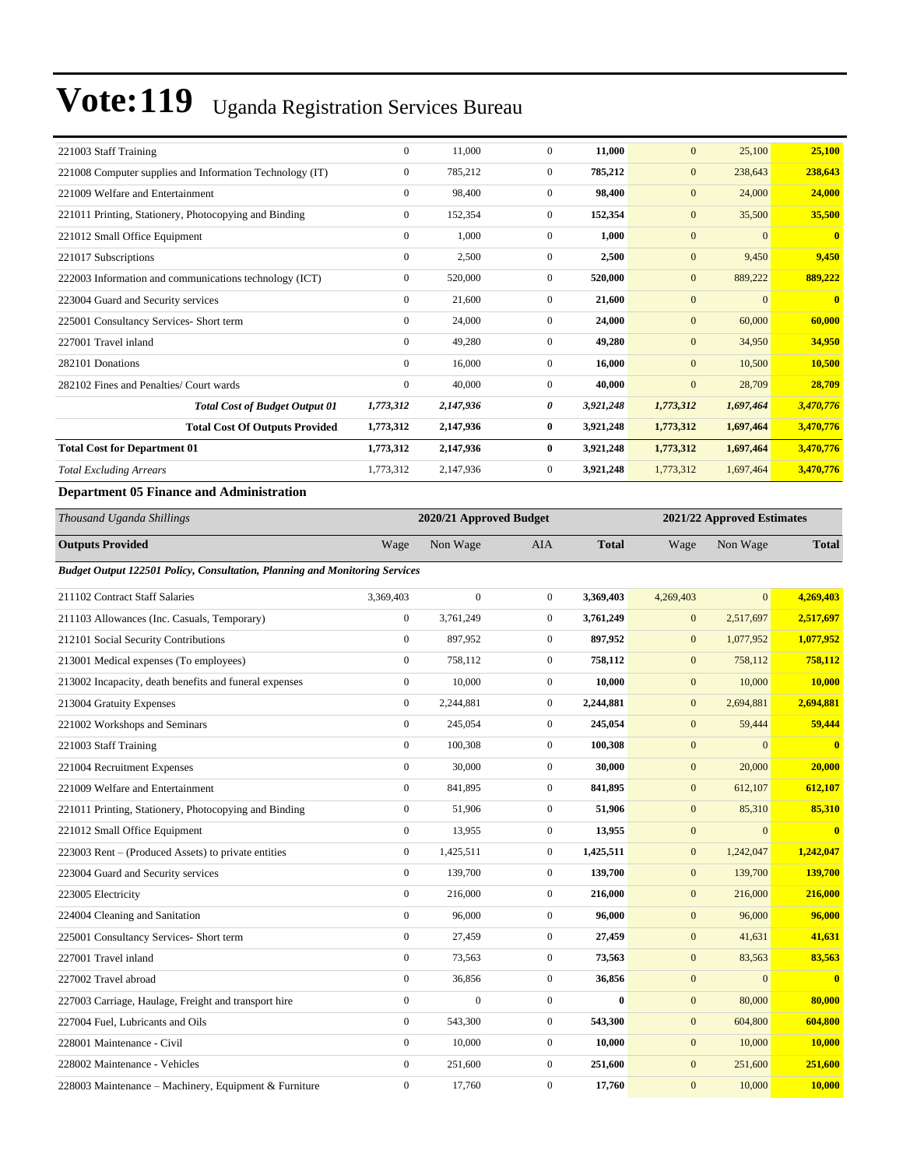| 221003 Staff Training                                    | $\mathbf{0}$     | 11,000    | $\Omega$       | 11,000    | $\mathbf{0}$ | 25,100         | 25,100                  |
|----------------------------------------------------------|------------------|-----------|----------------|-----------|--------------|----------------|-------------------------|
| 221008 Computer supplies and Information Technology (IT) | $\mathbf{0}$     | 785,212   | $\mathbf{0}$   | 785,212   | $\mathbf{0}$ | 238,643        | 238,643                 |
| 221009 Welfare and Entertainment                         | $\mathbf{0}$     | 98,400    | $\mathbf{0}$   | 98,400    | $\mathbf{0}$ | 24,000         | 24,000                  |
| 221011 Printing, Stationery, Photocopying and Binding    | $\mathbf{0}$     | 152,354   | $\mathbf{0}$   | 152,354   | $\mathbf{0}$ | 35,500         | 35,500                  |
| 221012 Small Office Equipment                            | $\mathbf{0}$     | 1.000     | $\mathbf{0}$   | 1.000     | $\mathbf{0}$ | $\mathbf{0}$   | $\mathbf{0}$            |
| 221017 Subscriptions                                     | $\mathbf{0}$     | 2,500     | $\mathbf{0}$   | 2,500     | $\mathbf{0}$ | 9,450          | 9,450                   |
| 222003 Information and communications technology (ICT)   | $\mathbf{0}$     | 520,000   | $\mathbf{0}$   | 520,000   | $\mathbf{0}$ | 889,222        | 889,222                 |
| 223004 Guard and Security services                       | $\mathbf{0}$     | 21,600    | $\overline{0}$ | 21,600    | $\mathbf{0}$ | $\overline{0}$ | $\overline{\mathbf{0}}$ |
| 225001 Consultancy Services- Short term                  | $\mathbf{0}$     | 24,000    | $\mathbf{0}$   | 24,000    | $\mathbf{0}$ | 60,000         | 60,000                  |
| 227001 Travel inland                                     | $\mathbf{0}$     | 49,280    | $\overline{0}$ | 49,280    | $\mathbf{0}$ | 34,950         | 34,950                  |
| 282101 Donations                                         | $\Omega$         | 16,000    | $\mathbf{0}$   | 16,000    | $\mathbf{0}$ | 10,500         | 10,500                  |
| 282102 Fines and Penalties/ Court wards                  | $\boldsymbol{0}$ | 40,000    | $\Omega$       | 40,000    | $\mathbf{0}$ | 28,709         | 28,709                  |
| <b>Total Cost of Budget Output 01</b>                    | 1,773,312        | 2,147,936 | 0              | 3,921,248 | 1,773,312    | 1,697,464      | 3,470,776               |
| <b>Total Cost Of Outputs Provided</b>                    | 1,773,312        | 2,147,936 | $\bf{0}$       | 3,921,248 | 1,773,312    | 1,697,464      | 3,470,776               |
| <b>Total Cost for Department 01</b>                      | 1,773,312        | 2,147,936 | $\bf{0}$       | 3,921,248 | 1,773,312    | 1,697,464      | 3,470,776               |
| <b>Total Excluding Arrears</b>                           | 1,773,312        | 2,147,936 | $\overline{0}$ | 3,921,248 | 1,773,312    | 1,697,464      | 3,470,776               |
| <b>Department 05 Finance and Administration</b>          |                  |           |                |           |              |                |                         |

## *Thousand Uganda Shillings* **2020/21 Approved Budget 2021/22 Approved Estimates**

| 2020/21 Approved Duuget |                  |                                                                             |           | 2021/22 Approved Estimates                                                                                                             |                                                                                                                              |                         |  |
|-------------------------|------------------|-----------------------------------------------------------------------------|-----------|----------------------------------------------------------------------------------------------------------------------------------------|------------------------------------------------------------------------------------------------------------------------------|-------------------------|--|
| Wage                    | Non Wage         | AIA                                                                         |           | Wage                                                                                                                                   | Non Wage                                                                                                                     | <b>Total</b>            |  |
|                         |                  |                                                                             |           |                                                                                                                                        |                                                                                                                              |                         |  |
| 3,369,403               | $\mathbf{0}$     | $\overline{0}$                                                              |           | 4,269,403                                                                                                                              | $\overline{0}$                                                                                                               | 4,269,403               |  |
| $\boldsymbol{0}$        | 3,761,249        | $\overline{0}$                                                              |           | $\mathbf{0}$                                                                                                                           | 2,517,697                                                                                                                    | 2,517,697               |  |
| $\mathbf{0}$            | 897,952          | $\overline{0}$                                                              |           | $\mathbf{0}$                                                                                                                           | 1,077,952                                                                                                                    | 1,077,952               |  |
| $\overline{0}$          | 758,112          | $\overline{0}$                                                              |           | $\mathbf{0}$                                                                                                                           | 758,112                                                                                                                      | 758,112                 |  |
| $\boldsymbol{0}$        | 10,000           | $\overline{0}$                                                              |           | $\mathbf{0}$                                                                                                                           | 10,000                                                                                                                       | 10,000                  |  |
| $\mathbf{0}$            | 2,244,881        | $\overline{0}$                                                              |           | $\mathbf{0}$                                                                                                                           | 2,694,881                                                                                                                    | 2,694,881               |  |
| $\boldsymbol{0}$        | 245,054          | $\mathbf{0}$                                                                |           | $\mathbf{0}$                                                                                                                           | 59,444                                                                                                                       | 59,444                  |  |
| $\mathbf{0}$            | 100,308          | $\overline{0}$                                                              |           | $\mathbf{0}$                                                                                                                           | $\Omega$                                                                                                                     | $\mathbf{0}$            |  |
| $\boldsymbol{0}$        | 30,000           | $\overline{0}$                                                              |           | $\mathbf{0}$                                                                                                                           | 20,000                                                                                                                       | 20,000                  |  |
| $\mathbf{0}$            | 841,895          | $\overline{0}$                                                              |           | $\mathbf{0}$                                                                                                                           | 612,107                                                                                                                      | 612,107                 |  |
| $\overline{0}$          | 51,906           | $\overline{0}$                                                              |           | $\mathbf{0}$                                                                                                                           | 85,310                                                                                                                       | 85,310                  |  |
| $\mathbf{0}$            | 13,955           | $\overline{0}$                                                              |           | $\mathbf{0}$                                                                                                                           | $\mathbf{0}$                                                                                                                 | $\overline{\mathbf{0}}$ |  |
| $\mathbf{0}$            | 1,425,511        | $\overline{0}$                                                              | 1,425,511 | $\mathbf{0}$                                                                                                                           | 1,242,047                                                                                                                    | 1,242,047               |  |
| $\mathbf{0}$            | 139,700          | $\overline{0}$                                                              |           | $\mathbf{0}$                                                                                                                           | 139,700                                                                                                                      | 139,700                 |  |
| $\mathbf{0}$            | 216,000          | $\overline{0}$                                                              |           | $\mathbf{0}$                                                                                                                           | 216,000                                                                                                                      | 216,000                 |  |
| $\overline{0}$          | 96,000           | $\overline{0}$                                                              |           | $\mathbf{0}$                                                                                                                           | 96,000                                                                                                                       | 96,000                  |  |
| $\mathbf{0}$            | 27,459           | $\overline{0}$                                                              |           | $\mathbf{0}$                                                                                                                           | 41,631                                                                                                                       | 41,631                  |  |
| $\mathbf{0}$            | 73,563           | $\overline{0}$                                                              |           | $\mathbf{0}$                                                                                                                           | 83,563                                                                                                                       | 83,563                  |  |
| $\mathbf{0}$            | 36,856           | $\overline{0}$                                                              |           | $\mathbf{0}$                                                                                                                           | $\overline{0}$                                                                                                               | $\overline{\mathbf{0}}$ |  |
| $\mathbf{0}$            | $\boldsymbol{0}$ | $\overline{0}$                                                              |           | $\mathbf{0}$                                                                                                                           | 80,000                                                                                                                       | 80,000                  |  |
| $\boldsymbol{0}$        | 543,300          | $\overline{0}$                                                              |           | $\boldsymbol{0}$                                                                                                                       | 604,800                                                                                                                      | 604,800                 |  |
| $\mathbf{0}$            | 10,000           | $\overline{0}$                                                              |           | $\mathbf{0}$                                                                                                                           | 10,000                                                                                                                       | 10,000                  |  |
| $\boldsymbol{0}$        | 251,600          | $\mathbf{0}$                                                                |           | $\mathbf{0}$                                                                                                                           | 251,600                                                                                                                      | 251,600                 |  |
| $\mathbf{0}$            | 17,760           | $\overline{0}$                                                              |           | $\mathbf{0}$                                                                                                                           | 10,000                                                                                                                       | 10,000                  |  |
|                         |                  | Budget Output 122501 Policy, Consultation, Planning and Monitoring Services |           | <b>Total</b><br>3,369,403<br>10,000<br>2,244,881<br>245,054<br>841,895<br>216,000<br>73,563<br>$\bf{0}$<br>543,300<br>10,000<br>17,760 | 3,761,249<br>897,952<br>758,112<br>100,308<br>30,000<br>51,906<br>13,955<br>139,700<br>96,000<br>27,459<br>36,856<br>251,600 |                         |  |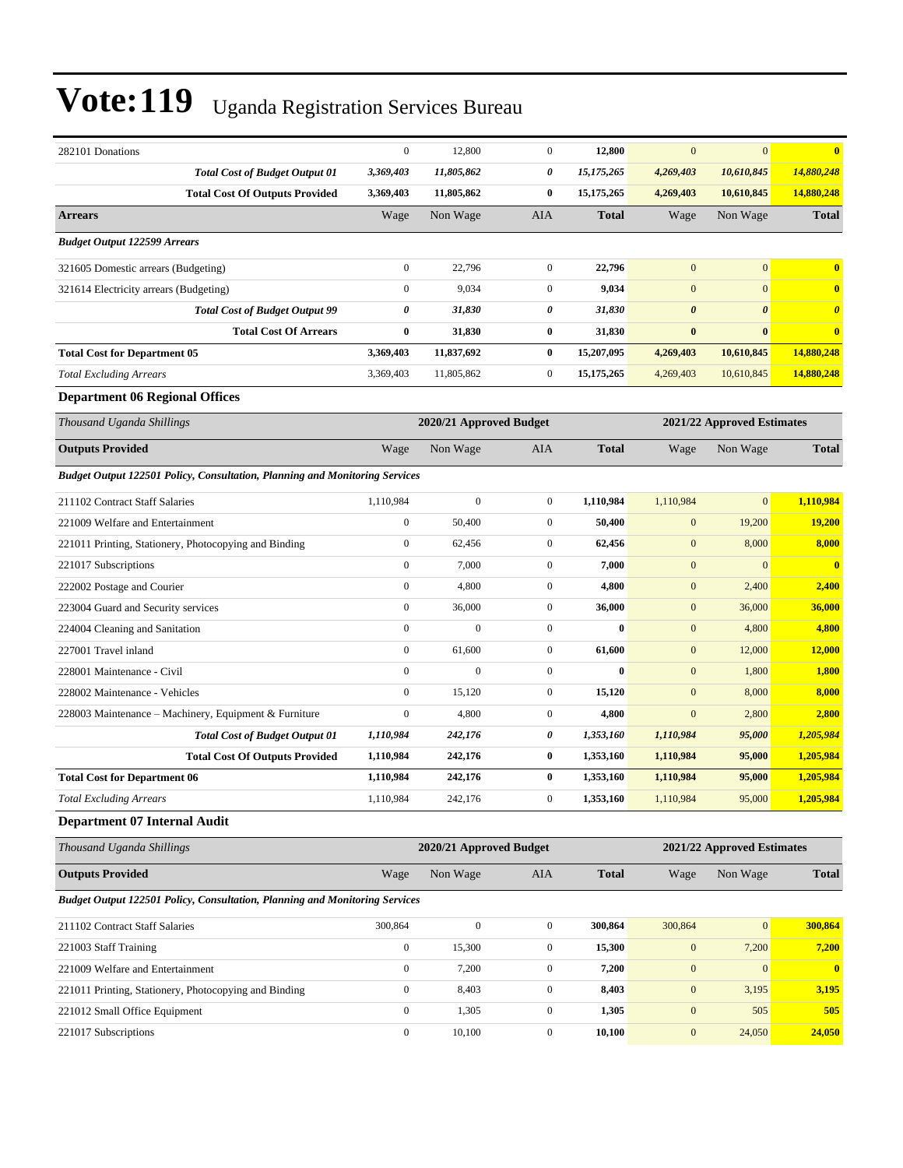| 282101 Donations                                                                   | $\boldsymbol{0}$        | 12,800           | $\mathbf{0}$     | 12,800                     | $\mathbf{0}$               | $\mathbf{0}$          | $\overline{\mathbf{0}}$ |  |
|------------------------------------------------------------------------------------|-------------------------|------------------|------------------|----------------------------|----------------------------|-----------------------|-------------------------|--|
| <b>Total Cost of Budget Output 01</b>                                              | 3,369,403               | 11,805,862       | 0                | 15,175,265                 | 4,269,403                  | 10,610,845            | 14,880,248              |  |
| <b>Total Cost Of Outputs Provided</b>                                              | 3,369,403               | 11,805,862       | $\bf{0}$         | 15,175,265                 | 4,269,403                  | 10,610,845            | 14,880,248              |  |
| <b>Arrears</b>                                                                     | Wage                    | Non Wage         | AIA              | <b>Total</b>               | Wage                       | Non Wage              | Total                   |  |
| <b>Budget Output 122599 Arrears</b>                                                |                         |                  |                  |                            |                            |                       |                         |  |
| 321605 Domestic arrears (Budgeting)                                                | $\boldsymbol{0}$        | 22,796           | $\mathbf{0}$     | 22,796                     | $\mathbf{0}$               | $\mathbf{0}$          | $\bf{0}$                |  |
| 321614 Electricity arrears (Budgeting)                                             | $\mathbf{0}$            | 9,034            | $\mathbf{0}$     | 9,034                      | $\mathbf{0}$               | $\overline{0}$        | $\bf{0}$                |  |
| <b>Total Cost of Budget Output 99</b>                                              | 0                       | 31,830           | 0                | 31,830                     | $\boldsymbol{\theta}$      | $\boldsymbol{\theta}$ | $\boldsymbol{\theta}$   |  |
| <b>Total Cost Of Arrears</b>                                                       | $\bf{0}$                | 31,830           | $\bf{0}$         | 31,830                     | $\bf{0}$                   | $\bf{0}$              | $\bf{0}$                |  |
| <b>Total Cost for Department 05</b>                                                | 3,369,403               | 11,837,692       | $\bf{0}$         | 15,207,095                 | 4,269,403                  | 10,610,845            | 14,880,248              |  |
| <b>Total Excluding Arrears</b>                                                     | 3,369,403               | 11,805,862       | $\mathbf{0}$     | 15,175,265                 | 4,269,403                  | 10,610,845            | 14,880,248              |  |
| <b>Department 06 Regional Offices</b>                                              |                         |                  |                  |                            |                            |                       |                         |  |
| Thousand Uganda Shillings                                                          | 2020/21 Approved Budget |                  |                  | 2021/22 Approved Estimates |                            |                       |                         |  |
| <b>Outputs Provided</b>                                                            | Wage                    | Non Wage         | AIA              | <b>Total</b>               | Wage                       | Non Wage              | <b>Total</b>            |  |
| <b>Budget Output 122501 Policy, Consultation, Planning and Monitoring Services</b> |                         |                  |                  |                            |                            |                       |                         |  |
| 211102 Contract Staff Salaries                                                     | 1,110,984               | $\mathbf{0}$     | $\mathbf{0}$     | 1,110,984                  | 1,110,984                  | $\mathbf{0}$          | 1,110,984               |  |
| 221009 Welfare and Entertainment                                                   | $\boldsymbol{0}$        | 50,400           | $\mathbf{0}$     | 50,400                     | $\boldsymbol{0}$           | 19,200                | 19,200                  |  |
| 221011 Printing, Stationery, Photocopying and Binding                              | $\boldsymbol{0}$        | 62,456           | $\boldsymbol{0}$ | 62,456                     | $\mathbf{0}$               | 8,000                 | 8,000                   |  |
| 221017 Subscriptions                                                               | $\boldsymbol{0}$        | 7,000            | $\mathbf{0}$     | 7,000                      | $\mathbf{0}$               | $\mathbf{0}$          | $\overline{0}$          |  |
| 222002 Postage and Courier                                                         | $\boldsymbol{0}$        | 4,800            | $\mathbf{0}$     | 4,800                      | $\mathbf{0}$               | 2,400                 | 2,400                   |  |
| 223004 Guard and Security services                                                 | $\boldsymbol{0}$        | 36,000           | $\mathbf{0}$     | 36,000                     | $\boldsymbol{0}$           | 36,000                | 36,000                  |  |
| 224004 Cleaning and Sanitation                                                     | $\overline{0}$          | $\overline{0}$   | $\mathbf{0}$     | $\bf{0}$                   | $\boldsymbol{0}$           | 4,800                 | 4,800                   |  |
| 227001 Travel inland                                                               | $\boldsymbol{0}$        | 61,600           | $\boldsymbol{0}$ | 61,600                     | $\mathbf{0}$               | 12,000                | 12,000                  |  |
| 228001 Maintenance - Civil                                                         | $\boldsymbol{0}$        | $\mathbf{0}$     | $\mathbf{0}$     | $\bf{0}$                   | $\mathbf{0}$               | 1,800                 | 1,800                   |  |
| 228002 Maintenance - Vehicles                                                      | $\boldsymbol{0}$        | 15,120           | $\mathbf{0}$     | 15,120                     | $\overline{0}$             | 8,000                 | 8,000                   |  |
| 228003 Maintenance - Machinery, Equipment & Furniture                              | $\overline{0}$          | 4,800            | $\mathbf{0}$     | 4,800                      | $\mathbf{0}$               | 2,800                 | 2,800                   |  |
| <b>Total Cost of Budget Output 01</b>                                              | 1,110,984               | 242,176          | 0                | 1,353,160                  | 1,110,984                  | 95,000                | 1,205,984               |  |
| <b>Total Cost Of Outputs Provided</b>                                              | 1,110,984               | 242,176          | $\bf{0}$         | 1,353,160                  | 1,110,984                  | 95,000                | 1,205,984               |  |
| <b>Total Cost for Department 06</b>                                                | 1,110,984               | 242,176          | $\bf{0}$         | 1,353,160                  | 1,110,984                  | 95,000                | 1,205,984               |  |
| <b>Total Excluding Arrears</b>                                                     | 1,110,984               | 242,176          | $\overline{0}$   | 1,353,160                  | 1,110,984                  | 95,000                | 1,205,984               |  |
| Department 07 Internal Audit                                                       |                         |                  |                  |                            |                            |                       |                         |  |
| Thousand Uganda Shillings                                                          | 2020/21 Approved Budget |                  |                  |                            | 2021/22 Approved Estimates |                       |                         |  |
| <b>Outputs Provided</b>                                                            | Wage                    | Non Wage         | AIA              | <b>Total</b>               | Wage                       | Non Wage              | Total                   |  |
| <b>Budget Output 122501 Policy, Consultation, Planning and Monitoring Services</b> |                         |                  |                  |                            |                            |                       |                         |  |
| 211102 Contract Staff Salaries                                                     | 300,864                 | $\boldsymbol{0}$ | $\boldsymbol{0}$ | 300,864                    | 300,864                    | $\mathbf{0}$          | 300,864                 |  |
| 221003 Staff Training                                                              | $\boldsymbol{0}$        | 15,300           | $\boldsymbol{0}$ | 15,300                     | $\mathbf{0}$               | 7,200                 | 7,200                   |  |
| 221009 Welfare and Entertainment                                                   | $\boldsymbol{0}$        | 7,200            | $\boldsymbol{0}$ | 7,200                      | $\boldsymbol{0}$           | $\mathbf{0}$          | $\mathbf{0}$            |  |
| 221011 Printing, Stationery, Photocopying and Binding                              | $\boldsymbol{0}$        | 8,403            | $\boldsymbol{0}$ | 8,403                      | $\bf{0}$                   | 3,195                 | 3,195                   |  |
| 221012 Small Office Equipment                                                      | $\boldsymbol{0}$        | 1,305            | $\boldsymbol{0}$ | 1,305                      | $\boldsymbol{0}$           | 505                   | 505                     |  |
| 221017 Subscriptions                                                               | $\boldsymbol{0}$        | 10,100           | $\boldsymbol{0}$ | 10,100                     | $\boldsymbol{0}$           | 24,050                | 24,050                  |  |